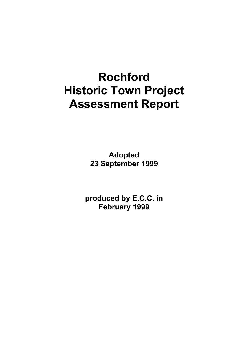# **Rochford Historic Town Project Assessment Report**

**Adopted 23 September 1999** 

**produced by E.C.C. in February 1999**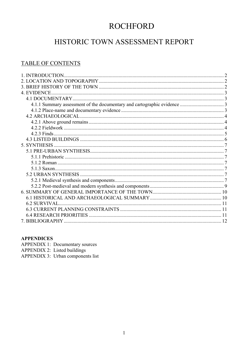# **ROCHFORD**

# HISTORIC TOWN ASSESSMENT REPORT

### **TABLE OF CONTENTS**

| 4. EVIDENCE         |  |
|---------------------|--|
|                     |  |
|                     |  |
|                     |  |
|                     |  |
|                     |  |
|                     |  |
|                     |  |
|                     |  |
|                     |  |
|                     |  |
|                     |  |
|                     |  |
|                     |  |
|                     |  |
|                     |  |
|                     |  |
|                     |  |
|                     |  |
| <b>6.2 SURVIVAL</b> |  |
|                     |  |
|                     |  |
|                     |  |

#### **APPENDICES**

**APPENDIX 1: Documentary sources** APPENDIX 2: Listed buildings<br>APPENDIX 3: Urban components list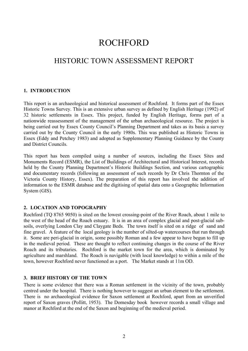# ROCHFORD

# HISTORIC TOWN ASSESSMENT REPORT

#### <span id="page-2-0"></span>**1. INTRODUCTION**

This report is an archaeological and historical assessment of Rochford. It forms part of the Essex Historic Towns Survey. This is an extensive urban survey as defined by English Heritage (1992) of 32 historic settlements in Essex. This project, funded by English Heritage, forms part of a nationwide reassessment of the management of the urban archaeological resource. The project is being carried out by Essex County Council's Planning Department and takes as its basis a survey carried out by the County Council in the early 1980s. This was published as Historic Towns in Essex (Eddy and Petchey 1983) and adopted as Supplementary Planning Guidance by the County and District Councils.

This report has been compiled using a number of sources, including the Essex Sites and Monuments Record (ESMR), the List of Buildings of Architectural and Historical Interest, records held by the County Planning Department's Historic Buildings Section, and various cartographic and documentary records (following an assessment of such records by Dr Chris Thornton of the Victoria County History, Essex). The preparation of this report has involved the addition of information to the ESMR database and the digitising of spatial data onto a Geographic Information System (GIS).

#### <span id="page-2-1"></span>**2. LOCATION AND TOPOGRAPHY**

Rochford (TQ 8765 9050) is sited on the lowest crossing-point of the River Roach, about 1 mile to the west of the head of the Roach estuary. It is in an area of complex glacial and post-glacial subsoils, overlying London Clay and Claygate Beds. The town itself is sited on a ridge of sand and fine gravel. A feature of the local geology is the number of silted-up watercourses that run through it. Some are peri-glacial in origin, some possibly Roman and a few appear to have begun to fill up in the medieval period. These are thought to reflect continuing changes in the course of the River Roach and its tributaries. Rochford is the market town for the area, which is dominated by agriculture and marshland. The Roach is navigable (with local knowledge) to within a mile of the town, however Rochford never functioned as a port. The Market stands at 11m OD.

#### <span id="page-2-2"></span>**3. BRIEF HISTORY OF THE TOWN**

There is some evidence that there was a Roman settlement in the vicinity of the town, probably centred under the hospital. There is nothing however to suggest an urban element to the settlement. There is no archaeological evidence for Saxon settlement at Rochford, apart from an unverified report of Saxon graves (Pollitt, 1953). The Domesday book however records a small village and manor at Rochford at the end of the Saxon and beginning of the medieval period.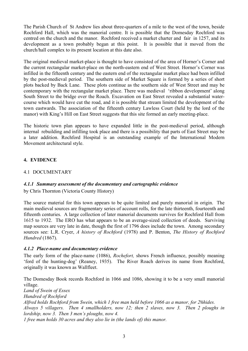The Parish Church of St Andrew lies about three-quarters of a mile to the west of the town, beside Rochford Hall, which was the manorial centre. It is possible that the Domesday Rochford was centred on the church and the manor. Rochford received a market charter and fair in 1257, and its development as a town probably began at this point. It is possible that it moved from the church/hall complex to its present location at this date also.

The original medieval market-place is thought to have consisted of the area of Horner's Corner and the current rectangular market-place on the north-eastern end of West Street. Horner's Corner was infilled in the fifteenth century and the eastern end of the rectangular market place had been infilled by the post-medieval period. The southern side of Market Square is formed by a series of short plots backed by Back Lane. These plots continue as the southern side of West Street and may be contemporary with the rectangular market place. There was medieval 'ribbon development' along South Street to the bridge over the Roach. Excavation on East Street revealed a substantial watercourse which would have cut the road, and it is possible that stream limited the development of the town eastwards. The association of the fifteenth century Lawless Court (held by the lord of the manor) with King's Hill on East Street suggests that this site formed an early meeting-place.

The historic town plan appears to have expanded little in the post-medieval period, although internal rebuilding and infilling took place and there is a possibility that parts of East Street may be a later addition. Rochford Hospital is an outstanding example of the International Modern Movement architectural style.

#### <span id="page-3-0"></span>**4. EVIDENCE**

#### <span id="page-3-1"></span>4.1 DOCUMENTARY

#### <span id="page-3-2"></span>*4.1.1 Summary assessment of the documentary and cartographic evidence*

by Chris Thornton (Victoria County History)

The source material for this town appears to be quite limited and purely manorial in origin. The main medieval sources are fragmentary series of account rolls, for the late thirteenth, fourteenth and fifteenth centuries. A large collection of later manorial documents survives for Rochford Hall from 1615 to 1932. The ERO has what appears to be an average-sized collection of deeds. Surviving map sources are very late in date, though the first of 1796 does include the town. Among secondary sources see: L.R. Cryer, *A history of Rochford* (1978) and P. Benton, *The History of Rochford Hundred* (1867).

#### <span id="page-3-3"></span>*4.1.2 Place-name and documentary evidence*

The early form of the place-name (1086), *Rochefort,* shows French influence, possibly meaning 'ford of the hunting-dog' (Reaney, 1935). The River Roach derives its name from Rochford, originally it was known as Wallfleet.

The Domesday Book records Rochford in 1066 and 1086, showing it to be a very small manorial village.

*Land of Swein of Essex Hundred of Rochford Alfred holds Rochford from Swein, which 1 free man held before 1066 as a manor, for 2*½*hides. Always 5 villagers. Then 4 smallholders, now 12; then 2 slaves, now 3. Then 2 ploughs in lordship, now 3. Then 3 men's ploughs, now 4. 1 free man holds 30 acres and they also lie in (the lands of) this manor.*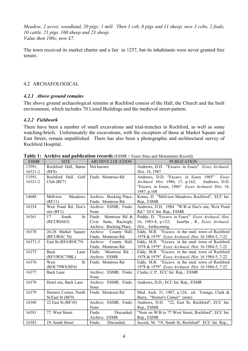*Meadow, 2 acres; woodland, 20 pigs; 1 mill. Then 1 cob, 8 pigs and 11 sheep; now 3 cobs, 2 foals, 10 cattle, 21 pigs, 160 sheep and 23 sheep. Value then 100s; now £7.*

The town received its market charter and a fair in 1257, but its inhabitants were never granted free tenure.

#### <span id="page-4-3"></span><span id="page-4-0"></span>4.2 ARCHAEOLOGICAL

#### <span id="page-4-1"></span>*4.2.1 Above ground remains*

The above ground archaeological remains at Rochford consist of the Hall, the Church and the built environment, which includes 70 Listed Buildings and the medieval street-pattern.

#### <span id="page-4-2"></span>*4.2.2 Fieldwork*

There have been a number of small excavations and trial-trenches in Rochford, as well as some watching-briefs. Unfortunately the excavations, with the exception of those at Market Square and East Street, remain unpublished. There has also been a photographic and architectural survey of Rochford Hospital.

| <b>ESMR</b> | <b>SITE</b>                              | <b>ARCHIVE LOCATION</b> | <b>PUBLICATION</b>                                  |
|-------------|------------------------------------------|-------------------------|-----------------------------------------------------|
| 13591,      | Rochford Hall, Barns                     | Not known               | Andrews, D.D. "Excavs. in Essex" Essex Archaeol.    |
| 16321-2     | (RF8)                                    |                         | <i>Hist.</i> 18, 1987                               |
| 13591,      | Rochford Hall, Golf   Finds: Montrose Rd |                         | Andrews, D.D. "Excavs. in Essex 1985"<br>Essex      |
| 16321-2     | Club (RF7)                               |                         | Archaeol. Hist. 1986, 17, p.162; Andrews, D.D.      |
|             |                                          |                         | "Excavs. in Essex, 1986" Essex Archaeol. Hist. 18,  |
|             |                                          |                         | 1987, p.108                                         |
| 14688       | Millview<br>Meadows                      | Archive: Bocking Place; | Kenny, D. "Millview Meadows, Rochford", ECC Int.    |
|             | (RF11)                                   | Finds: Montrose Rd.     | Rep., ESMR                                          |
| 16354       | Weir Pond Rd, Doe's                      | Archive: ESMR; Finds:   | Andrews, D.D. 1984 "W/B at Doe's site, Weir Pond    |
|             | site $(RF1)$                             | None                    | Rd." ECC Int. Rep., ESMR                            |
| 16361       | South<br>17<br><b>St</b>                 | Finds: Montrose Rd &    | Priddy, D. "Excavs. in Essex" Essex Archaeol. Hist. |
|             | (RF2/RSS83)                              | Civic Suite, Rayleigh;  | 16, 1983-4, p.132; Isserlin, R., Essex Archaeol.    |
|             |                                          | Archive: Bocking Place  | <i>Hist.</i> , forthcoming.                         |
| 16370       | 26-28 Market Square                      | Archive: County Hall;   | Eddy, M.R. "Excavs. in the med. town of Rochford    |
|             | (RF3/ROC 78)                             | Finds: Montrose Rd.     | 1978 & 1979" Essex Archaeol. Hist. 16 1984-5, 7-22  |
| 16371-3     | East St (RF4/ROC79)                      | Archive: County Hall;   | Eddy, M.R. "Excavs. in the med. town of Rochford    |
|             |                                          | Finds: Montrose Rd.     | 1978 & 1979" Essex Archaeol. Hist. 16 1984-5, 7-22  |
| 16375       | Back<br>Lane                             | Finds: Montrose Rd. ;   | Eddy, M.R. "Excavs. in the med. town of Rochford    |
|             | (RF5/ROC79BL)                            | Archive: ESMR           | 1978 & 1979" Essex Archaeol. Hist. 16 1984-5, 7-22  |
| 16376       | <b>St</b><br>West                        | Finds: Montrose Rd      | Eddy, M.R. "Excavs. in the med. town of Rochford    |
|             | (ROC79WS/RF6)                            |                         | 1978 & 1979" Essex Archaeol. Hist. 16 1984-5, 7-22  |
| 16377       | <b>Back Lane</b>                         | Archive: ESMR; Finds:   | Clarke, C.P., ECC Int. Rep., ESMR                   |
|             |                                          | None                    |                                                     |
| 16378       | Hotel site, Back Lane                    | Archive: ESMR; Finds:   | Andrews, D.D., ECC Int. Rep., ESMR                  |
|             |                                          | None                    |                                                     |
| 16379       | Horners Corner, North                    | Finds: Montrose Rd      | Med. Arch. 31, 1987, p.124, ed. Youngs, Clark &     |
|             | St/East St (RF9)                         |                         | Barry, "Horner's Corner" (note)                     |
| 16380       | 22 East St (RF10)                        | Archive: ESMR; Finds:   | Andrews, D.D. "22, East St, Rochford", ECC Int.     |
|             |                                          | None                    | Rep., ESMR                                          |
| 16381       | 77. West Street                          | Finds:<br>Discarded;    | "Note on W/B to 77 West Street, Rochford", ECC Int. |
|             |                                          | Archive: ESMR           | Rep., ESMR                                          |
| 16382       | 19, South Street                         | Finds:<br>Discarded;    | Jecock, M. "19, South St, Rochford" ECC Int. Rep.,  |

**Table 1: Archive and publication records** (ESMR = Essex Sites and Monuments Record)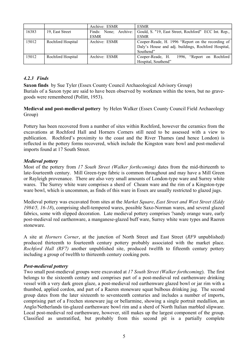|       |                   | Archive: ESMR         | <b>ESMR</b>                                          |
|-------|-------------------|-----------------------|------------------------------------------------------|
| 16383 | 19, East Street   | Finds: None; Archive: | Gould, S. "19, East Street, Rochford" ECC Int. Rep., |
|       |                   | <b>ESMR</b>           | <b>ESMR</b>                                          |
| 15012 | Rochford Hospital | Archive: ESMR         | Cooper-Reade, H. 1996 "Report on the recording of    |
|       |                   |                       | Daly's House and adj. buildings, Rochford Hospital,  |
|       |                   |                       | Southend"                                            |
| 15012 | Rochford Hospital | Archive: ESMR         | Cooper-Reade, H.<br>1996, "Report on Rochford        |
|       |                   |                       | Hospital, Southend"                                  |

#### *4.2.3 Finds*

**Saxon finds** by Sue Tyler (Essex County Council Archaeological Advisory Group) Burials of a Saxon type are said to have been observed by workmen within the town, but no gravegoods were remembered (Pollitt, 1953).

**Medieval and post-medieval pottery** by Helen Walker (Essex County Council Field Archaeology Group)

Pottery has been recovered from a number of sites within Rochford, however the ceramics from the excavations at Rochford Hall and Horners Corners still need to be assessed with a view to publication. Rochford's proximity to the coast and the River Thames (and hence London) is reflected in the pottery forms recovered, which include the Kingston ware bowl and post-medieval imports found at 17 South Street.

#### *Medieval pottery*

Most of the pottery from *17 South Street (Walker forthcoming)* dates from the mid-thirteenth to late-fourteenth century. Mill Green-type fabric is common throughout and may have a Mill Green or Rayleigh provenance. There are also very small amounts of London-type ware and Surrey white wares. The Surrey white ware comprises a sherd of Cheam ware and the rim of a Kingston-type ware bowl, which is uncommon, as finds of this ware in Essex are usually restricted to glazed jugs.

Medieval pottery was excavated from sites at the *Market Square*, *East Street and West Street (Eddy 1984/5, 16-18*), comprising shell-tempered wares, possible Saxo-Norman wares, and several glazed fabrics, some with slipped decoration. Late medieval pottery comprises ?sandy orange ware, early post-medieval red earthenware, a manganese-glazed buff ware, Surrey white ware types and Raeren stoneware.

A site at *Horners Corner*, at the junction of North Street and East Street (*RF9* unpublished) produced thirteenth to fourteenth century pottery probably associated with the market place. *Rochford Hall (RF7)* another unpublished site, produced twelfth to fifteenth century pottery including a group of twelfth to thirteenth century cooking pots.

#### *Post-medieval pottery*

Two small post-medieval groups were excavated at *17 South Street (Walker forthcoming*). The first belongs to the sixteenth century and comprises part of a post-medieval red earthenware drinking vessel with a very dark green glaze, a post-medieval red earthenware glazed bowl or jar rim with a thumbed, applied cordon, and part of a Raeren stoneware squat bulbous drinking jug. The second group dates from the later sixteenth to seventeenth centuries and includes a number of imports, comprising part of a Frechen stoneware jug or bellarmine, showing a single portrait medallion, an Anglo/Netherlands tin-glazed earthenware bowl rim and a sherd of North Italian marbled slipware. Local post-medieval red earthenware, however, still makes up the largest component of the group. Classified as unstratified, but probably from this second pit is a partially complete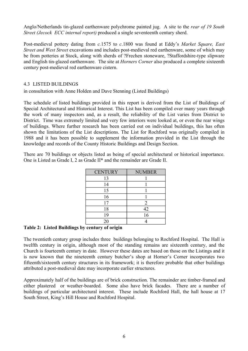Anglo/Netherlands tin-glazed earthenware polychrome painted jug. A site to the *rear of 19 South Street (Jecock ECC internal report)* produced a single seventeenth century sherd.

Post-medieval pottery dating from *c.*1575 to *c*.1800 was found at Eddy's *Market Square, East Street and West Street* excavations and includes post-medieval red earthenware, some of which may be from potteries at Stock, along with sherds of ?Frechen stoneware, ?Staffordshire-type slipware and English tin-glazed earthenware. The site at *Horners Corner* also produced a complete sixteenth century post-medieval red earthenware cistern.

#### <span id="page-6-0"></span>4.3 LISTED BUILDINGS

in consultation with Anne Holden and Dave Stenning (Listed Buildings)

The schedule of listed buildings provided in this report is derived from the List of Buildings of Special Architectural and Historical Interest. This List has been compiled over many years through the work of many inspectors and, as a result, the reliability of the List varies from District to District. Time was extremely limited and very few interiors were looked at, or even the rear wings of buildings. Where further research has been carried out on individual buildings, this has often shown the limitations of the List descriptions. The List for Rochford was originally compiled in 1988 and it has been possible to supplement the information provided in the List through the knowledge and records of the County Historic Buildings and Design Section.

There are 70 buildings or objects listed as being of special architectural or historical importance. One is Listed as Grade I, 2 as Grade II\* and the remainder are Grade II.

| <b>CENTURY</b> | <b>NUMBER</b>  |
|----------------|----------------|
| 13             |                |
| 14             |                |
| 15             |                |
| 16             |                |
| 17             | $\overline{2}$ |
| 18             | 42             |
| 19             | 16             |
| 20             |                |

#### **Table 2: Listed Buildings by century of origin**

The twentieth century group includes three buildings belonging to Rochford Hospital. The Hall is twelfth century in origin, although most of the standing remains are sixteenth century, and the Church is fourteenth century in date. However these dates are based on those on the Listings and it is now known that the nineteenth century butcher's shop at Horner's Corner incorporates two fifteenth/sixteenth century structures in its framework; it is therefore probable that other buildings attributed a post-medieval date may incorporate earlier structures.

Approximately half of the buildings are of brick construction. The remainder are timber-framed and either plastered or weather-boarded. Some also have brick facades. There are a number of buildings of particular architectural interest. These include Rochford Hall, the hall house at 17 South Street, King's Hill House and Rochford Hospital.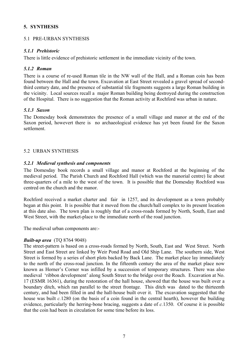#### <span id="page-7-0"></span>**5. SYNTHESIS**

#### <span id="page-7-1"></span>5.1 PRE-URBAN SYNTHESIS

#### <span id="page-7-2"></span>*5.1.1 Prehistoric*

There is little evidence of prehistoric settlement in the immediate vicinity of the town.

#### <span id="page-7-3"></span>*5.1.2 Roman*

There is a course of re-used Roman tile in the NW wall of the Hall, and a Roman coin has been found between the Hall and the town. Excavation at East Street revealed a gravel spread of secondthird century date, and the presence of substantial tile fragments suggests a large Roman building in the vicinity. Local sources recall a major Roman building being destroyed during the construction of the Hospital. There is no suggestion that the Roman activity at Rochford was urban in nature.

#### <span id="page-7-4"></span>*5.1.3 Saxon*

The Domesday book demonstrates the presence of a small village and manor at the end of the Saxon period, howevert there is no archaeological evidence has yet been found for the Saxon settlement.

#### <span id="page-7-5"></span>5.2 URBAN SYNTHESIS

#### <span id="page-7-6"></span>*5.2.1 Medieval synthesis and components*

The Domesday book records a small village and manor at Rochford at the beginning of the medieval period. The Parish Church and Rochford Hall (which was the manorial centre) lie about three-quarters of a mile to the west of the town. It is possible that the Domesday Rochford was centred on the church and the manor.

Rochford received a market charter and fair in 1257, and its development as a town probably began at this point. It is possible that it moved from the church/hall complex to its present location at this date also. The town plan is roughly that of a cross-roads formed by North, South, East and West Street, with the market-place to the immediate north of the road junction.

The medieval urban components are:-

#### *Built-up area* (TQ 8764 9048)

The street-pattern is based on a cross-roads formed by North, South, East and West Street. North Street and East Street are linked by Weir Pond Road and Old Ship Lane. The southern side, West Street is formed by a series of short plots backed by Back Lane. The market place lay immediately to the north of the cross-road junction. In the fifteenth century the area of the market place now known as Horner's Corner was infilled by a succession of temporary structures. There was also medieval 'ribbon development' along South Street to the bridge over the Roach. Excavation at No. 17 (ESMR 16361), during the restoration of the hall house, showed that the house was built over a boundary ditch, which ran parallel to the street frontage. This ditch was dated to the thirteenth century, and had been filled in and the hall-house built over it. The excavation suggested that the house was built *c.*1280 (on the basis of a coin found in the central hearth), however the building evidence, particularly the herring-bone bracing, suggests a date of *c.*1350. Of course it is possible that the coin had been in circulation for some time before its loss.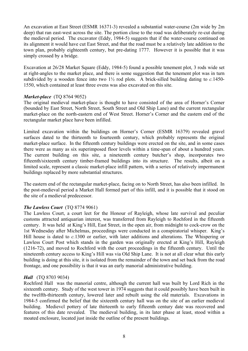An excavation at East Street (ESMR 16371-3) revealed a substantial water-course (2m wide by 2m deep) that ran east-west across the site. The portion close to the road was deliberately re-cut during the medieval period. The excavator (Eddy, 1984-5) suggests that if the water-course continued on its alignment it would have cut East Street, and that the road must be a relatively late addition to the town plan, probably eighteenth century, but pre-dating 1777. However it is possible that it was simply crossed by a bridge.

Excavation at 26/28 Market Square (Eddy, 1984-5) found a possible tenement plot, 3 rods wide set at right-angles to the market place, and there is some suggestion that the tenement plot was in turn subdivided by a wooden fence into two 1½ rod plots. A brick-silled building dating to *c.*1450- 1550, which contained at least three ovens was also excavated on this site.

#### *Market-place* (TQ 8764 9052)

The original medieval market-place is thought to have consisted of the area of Horner's Corner (bounded by East Street, North Street, South Street and Old Ship Lane) and the current rectangular market-place on the north-eastern end of West Street. Horner's Corner and the eastern end of the rectangular market place have been infilled.

Limited excavation within the buildings on Horner's Corner (ESMR 16379) revealed gravel surfaces dated to the thirteenth to fourteenth century, which probably represents the original market-place surface. In the fifteenth century buildings were erected on the site, and in some cases there were as many as six superimposed floor levels within a time-span of about a hundred years. The current building on this site, a nineteenth century butcher's shop, incorporates two fifteenth/sixteenth century timber-framed buildings into its structure. The results, albeit on a limited scale, represent a classic market-place infill pattern, with a series of relatively impermanent buildings replaced by more substantial structures.

The eastern end of the rectangular market-place, facing on to North Street, has also been infilled. In the post-medieval period a Market Hall formed part of this infill, and it is possible that it stood on the site of a medieval predecessor.

#### *The Lawless Court* (TQ 8774 9061)

The Lawless Court, a court leet for the Honour of Rayleigh, whose late survival and peculiar customs attracted antiquarian interest, was transferred from Rayleigh to Rochford in the fifteenth century. It was held at King's Hill, East Street, in the open air, from midnight to cock-crow on the 1st Wednesday after Michelmas, proceedings were conducted in a conspiratorial whisper. King's Hill house is dated to *c.*1300 or earlier, with later additions and alterations. The Whispering or Lawless Court Post which stands in the garden was originally erected at King's Hill, Rayleigh (1216-72), and moved to Rochford with the court proceedings in the fifteenth century. Until the nineteenth century access to King's Hill was via Old Ship Lane. It is not at all clear what this early building is doing at this site, it is isolated from the remainder of the town and set back from the road frontage, and one possibility is that it was an early manorial administrative building.

#### *Hall* (TQ 8703 9034)

Rochford Hall was the manorial centre, although the current hall was built by Lord Rich in the sixteenth century. Study of the west tower in 1974 suggests that it could possibly have been built in the twelfth-thirteenth century, lowered later and rebuilt using the old materials. Excavations in 1984-5 confirmed the belief that the sixteenth century hall was on the site of an earlier medieval building. Medievcl pottery of late thirteenth to early fifteenth century date was recovered and features of this date revealed. The medieval building, in its later phase at least, stood within a moated enclosure, located just inside the outline of the present buildings.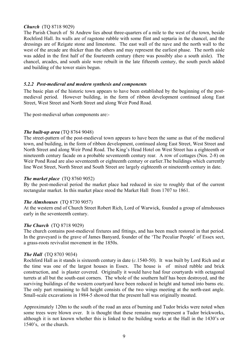#### *Church* (TQ 8718 9029)

The Parish Church of St Andrew lies about three-quarters of a mile to the west of the town, beside Rochford Hall. Its walls are of ragstone rubble with some flint and septaria in the chancel, and the dressings are of Reigate stone and limestone. The east wall of the nave and the north wall to the west of the arcade are thicker than the others and may represent the earliest phase. The north aisle was added in the first half of the fourteenth century (there was possibly also a south aisle). The chancel, arcades, and south aisle were rebuilt in the late fifteenth century, the south porch added and building of the tower stairs begun.

#### <span id="page-9-0"></span>*5.2.2 Post-medieval and modern synthesis and components*

The basic plan of the historic town appears to have been established by the beginning of the postmedieval period. However building, in the form of ribbon development continued along East Street, West Street and North Street and along Weir Pond Road.

The post-medieval urban components are:-

#### *The built-up area* (TQ 8764 9048)

The street-pattern of the post-medieval town appears to have been the same as that of the medieval town, and building, in the form of ribbon development, continued along East Street, West Street and North Street and along Weir Pond Road. The King's Head Hotel on West Street has a eighteenth or nineteenth century facade on a probable seventeenth century rear. A row of cottages (Nos. 2-8) on Weir Pond Road are also seventeenth or eighteenth century or earlier.The buildings which currently line West Street, North Street and South Street are largely eighteenth or nineteenth century in date.

#### *The market place* (TQ 8760 9052)

By the post-medieval period the market place had reduced in size to roughly that of the current rectangular market. In this market place stood the Market Hall from 1707 to 1861.

#### *The Almshouses* (TQ 8730 9057)

At the western end of Church Street Robert Rich, Lord of Warwick, founded a group of almshouses early in the seventeenth century.

#### *The Church* (TQ 8718 9029)

The church contains post-medieval fixtures and fittings, and has been much restored in that period. In the graveyard is the grave of James Banyard, founder of the 'The Peculiar People' of Essex sect, a grass-roots revivalist movement in the 1850s.

#### *The Hall* (TQ 8703 9034)

Rochford Hall as it stands is sixteenth century in date (*c.*1540-50). It was built by Lord Rich and at the time was one of the largest houses in Essex. The house is of mixed rubble and brick construction, and is plaster covered. Originally it would have had four courtyards with octagonal turrets at all but the south-east corners. The whole of the southern half has been destroyed, and the surviving buildings of the western courtyard have been reduced in height and turned into barns etc. The only part remaining to full height consists of the two wings meeting at the north-east angle. Small-scale excavations in 1984-5 showed that the present hall was originally moated.

Approximately 120m to the south of the road an area of burning and Tudor bricks were noted when some trees were blown over. It is thought that these remains may represent a Tudor brickworks, although it is not known whether this is linked to the building works at the Hall in the 1430's or 1540's, or the church.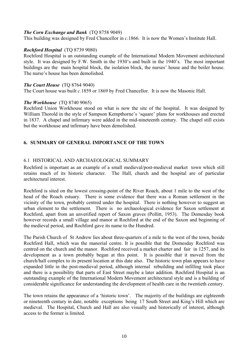#### *The Corn Exchange and Bank* (TQ 8758 9049)

This building was designed by Fred Chancellor in *c*.1866. It is now the Women's Institute Hall.

#### *Rochford Hospital* (TO 8739 9080)

Rochford Hospital is an outstanding example of the International Modern Movement architectural style. It was designed by F.W. Smith in the 1930's and built in the 1940's. The most important buildings are the main hospital block, the isolation block, the nurses' house and the boiler house. The nurse's house has been demolished.

#### *The Court House* (TO 8764 9040)

The Court house was built *c.*1859 or 1869 by Fred Chancellor. It is now the Masonic Hall.

#### *The Workhouse* (TQ 8740 9065)

Rochford Union Workhouse stood on what is now the site of the hospital. It was designed by William Thorold in the style of Sampson Kempthorne's 'square' plans for workhouses and erected in 1837. A chapel and infirmary were added in the mid-nineteenth century. The chapel still exists but the workhouse and infirmary have been demolished.

#### <span id="page-10-0"></span>**6. SUMMARY OF GENERAL IMPORTANCE OF THE TOWN**

#### <span id="page-10-1"></span>6.1 HISTORICAL AND ARCHAEOLOGICAL SUMMARY

Rochford is important as an example of a small medieval/post-medieval market town which still retains much of its historic character. The Hall, church and the hospital are of particular architectural interest.

Rochford is sited on the lowest crossing-point of the River Roach, about 1 mile to the west of the head of the Roach estuary. There is some evidence that there was a Roman settlement in the vicinity of the town, probably centred under the hospital. There is nothing however to suggest an urban element to the settlement. There is no archaeological evidence for Saxon settlement at Rochford, apart from an unverified report of Saxon graves (Pollitt, 1953). The Domesday book however records a small village and manor at Rochford at the end of the Saxon and beginning of the medieval period, and Rochford gave its name to the Hundred.

The Parish Church of St Andrew lies about three-quarters of a mile to the west of the town, beside Rochford Hall, which was the manorial centre. It is possible that the Domesday Rochford was centred on the church and the manor. Rochford received a market charter and fair in 1257, and its development as a town probably began at this point. It is possible that it moved from the church/hall complex to its present location at this date also. The historic town plan appears to have expanded little in the post-medieval period, although internal rebuilding and infilling took place and there is a possibility that parts of East Street maybe a later addition. Rochford Hospital is an outstanding example of the International Modern Movement architectural style and is a building of considerable significance for understanding the development of health care in the twentieth century.

The town retains the appearance of a 'historic town'. The majority of the buildings are eighteenth or nineteenth century in date, notable exceptions being 17 South Street and King's Hill which are medieval. The Hospital, Church and Hall are also visually and historically of interest, although access to the former is limited.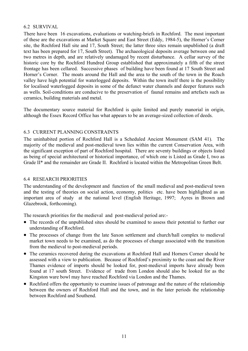#### <span id="page-11-0"></span>6.2 SURVIVAL

There have been 16 excavations, evaluations or watching-briefs in Rochford. The most important of these are the excavations at Market Square and East Street (Eddy, 1984-5), the Horner's Corner site, the Rochford Hall site and 17, South Street; the latter three sites remain unpublished (a draft text has been prepared for 17, South Street). The archaeological deposits average between one and two metres in depth, and are relatively undamaged by recent disturbance. A cellar survey of the historic core by the Rochford Hundred Group established that approximately a fifth of the street frontage has been cellared. Successive phases of building have been found at 17 South Street and Horner's Corner. The moats around the Hall and the area to the south of the town in the Roach valley have high potential for waterlogged deposits. Within the town itself there is the possibility for localised waterlogged deposits in some of the defunct water channels and deeper features such as wells. Soil-conditions are conducive to the preservation of faunal remains and artefacts such as ceramics, building materials and metal.

The documentary source material for Rochford is quite limited and purely manorial in origin, although the Essex Record Office has what appears to be an average-sized collection of deeds.

#### <span id="page-11-1"></span>6.3 CURRENT PLANNING CONSTRAINTS

The uninhabited portion of Rochford Hall is a Scheduled Ancient Monument (SAM 41). The majority of the medieval and post-medieval town lies within the current Conservation Area, with the significant exception of part of Rochford hospital. There are seventy buildings or objects listed as being of special architectural or historical importance, of which one is Listed as Grade I, two as Grade II\* and the remainder are Grade II. Rochford is located within the Metropolitan Green Belt.

#### <span id="page-11-2"></span>6.4 RESEARCH PRIORITIES

The understanding of the development and function of the small medieval and post-medieval town and the testing of theories on social action, economy, politics etc. have been highlighted as an important area of study at the national level (English Heritage, 1997; Ayres in Brown and Glazebrook, forthcoming).

The research priorities for the medieval and post-medieval period are:-

- The records of the unpublished sites should be examined to assess their potential to further our understanding of Rochford.
- The processes of change from the late Saxon settlement and church/hall complex to medieval market town needs to be examined, as do the processes of change associated with the transition from the medieval to post-medieval periods.
- The ceramics recovered during the excavations at Rochford Hall and Horners Corner should be assessed with a view to publication. Because of Rochford's proximity to the coast and the River Thames evidence of imports should be looked for, post-medieval imports have already been found at 17 south Street. Evidence of trade from London should also be looked for as the Kingston ware bowl may have reached Rochford via London and the Thames.
- Rochford offers the opportunity to examine issues of patronage and the nature of the relationship between the owners of Rochford Hall and the town, and in the later periods the relationship between Rochford and Southend.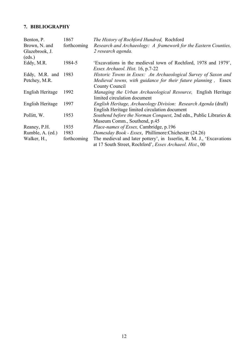### <span id="page-12-0"></span>**7. BIBLIOGRAPHY**

| Benton, P.<br>Brown, N. and          | 1867<br>forthcoming | The History of Rochford Hundred, Rochford<br>Research and Archaeology: A framework for the Eastern Counties,                                       |
|--------------------------------------|---------------------|----------------------------------------------------------------------------------------------------------------------------------------------------|
| Glazebrook, J.<br>(eds.)             |                     | 2 research agenda.                                                                                                                                 |
| Eddy, M.R.                           | 1984-5              | 'Excavations in the medieval town of Rochford, 1978 and 1979',<br>Essex Archaeol. Hist. 16, p.7-22                                                 |
| Eddy, M.R. and 1983<br>Petchey, M.R. |                     | Historic Towns in Essex: An Archaeological Survey of Saxon and<br>Medieval towns, with guidance for their future planning, Essex<br>County Council |
| English Heritage                     | 1992                | Managing the Urban Archaeological Resource, English Heritage<br>limited circulation document                                                       |
| English Heritage                     | 1997                | English Heritage, Archaeology Division: Research Agenda (draft)<br>English Heritage limited circulation document                                   |
| Pollitt, W.                          | 1953                | Southend before the Norman Conquest, 2nd edn., Public Libraries &<br>Museum Comm., Southend, p.45                                                  |
| Reaney, P.H.                         | 1935                | <i>Place-names of Essex, Cambridge, p.196</i>                                                                                                      |
| Rumble, A. (ed.)                     | 1983                | Domesday Book - Essex, Phillimore: Chichester (24.26)                                                                                              |
| Walker, H.,                          | forthcoming         | The medieval and later pottery', in Isserlin, R. M. J., 'Excavations'<br>at 17 South Street, Rochford', Essex Archaeol. Hist., 00                  |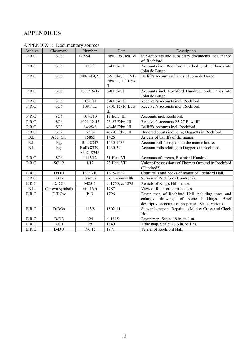## **APPENDICES**

| <b>APPENDIX 1: Documentary sources</b> |  |  |
|----------------------------------------|--|--|
|----------------------------------------|--|--|

| Archive | Classmark       | Number                    | Date                                                      | Description                                                                                                                                         |  |  |
|---------|-----------------|---------------------------|-----------------------------------------------------------|-----------------------------------------------------------------------------------------------------------------------------------------------------|--|--|
| P.R.O.  | SC <sub>6</sub> | 1292/4                    | Edw. I to Hen. VI                                         | Sub-accounts and subsidiary documents incl. manor<br>of Rochford.                                                                                   |  |  |
| P.R.O.  | SC <sub>6</sub> | 1089/7                    | 3-4 Edw. I                                                | Accounts incl. Rochford Hundred, prob. of lands late<br>John de Burgo.                                                                              |  |  |
| P.R.O.  | SC <sub>6</sub> | 840/1-19,21               | 3-5 Edw. I, 17-18<br>Edw. I, 17 Edw.<br>$\rm{II}$         | Bailiff's accounts of lands of John de Burgo.                                                                                                       |  |  |
| P.R.O.  | SC <sub>6</sub> | 1089/16-17                | 6-8 Edw. I                                                | Accounts incl. Rochford Hundred, prob. lands late<br>John de Burgo.                                                                                 |  |  |
| P.R.O.  | SC <sub>6</sub> | 1090/11                   | 7-8 Edw. II                                               | Receiver's accounts incl. Rochford.                                                                                                                 |  |  |
| P.R.O.  | SC6             | 1091/1,5                  | 7-10, 15-16 Edw.<br>Ш                                     | Receiver's accounts incl. Rochford.                                                                                                                 |  |  |
| P.R.O.  | SC <sub>6</sub> | 1090/10                   | 13 Edw. III                                               | Accounts incl. Rochford.                                                                                                                            |  |  |
| P.R.O.  | SC <sub>6</sub> | 1091/12-15                | 25-27 Edw. III                                            | Receiver's accounts 25-27 Edw. III                                                                                                                  |  |  |
| P.R.O.  | $SC^{\wedge}$   | $846/5 - 6$               | 46-48 Edw. III                                            | Bailiff's accounts incl. Rochford.                                                                                                                  |  |  |
| P.R.O.  | SC <sub>2</sub> | 173/62                    | 48-50 Edw. III                                            | Hundred courts including Doggetts in Rochford.                                                                                                      |  |  |
| B.L.    | Add. Ch.        | 15865                     | 1426                                                      | Arrears of bailiffs of the manor.                                                                                                                   |  |  |
| B.L.    | Eg.             | Roll 8347                 | 1430-1433<br>Account roll for repairs to the manor-house. |                                                                                                                                                     |  |  |
| B.L.    | Eg.             | Rolls 8339-<br>8342, 8348 | 1430-39                                                   | Account rolls relating to Doggetts in Rochford.                                                                                                     |  |  |
| P.R.O.  | SC <sub>6</sub> | 1113/12                   | 31 Hen. VI                                                | Accounts of arrears, Rochford Hundred                                                                                                               |  |  |
| P.R.O.  | <b>SC 12</b>    | 1/12                      | 23 Hen. VII                                               | Valor of possessions of Thomas Ormund in Rochford<br>(Hundred?).                                                                                    |  |  |
| E.R.O.  | D/DU            | $183/1 - 10$              | 1615-1932                                                 | Court rolls and books of manor of Rochford Hall.                                                                                                    |  |  |
| P.R.O.  | E317            | Essex 7                   | Commonwealth                                              | Survey of Rochford (Hundred?).                                                                                                                      |  |  |
| E.R.O.  | D/DCf           | M25-6                     | c. 1750, c. 1875                                          | Rentals of King's Hill manor.                                                                                                                       |  |  |
| B.L.    | (Crown symbol)  | xiii.16.b                 | 1787                                                      | View of Rochford almshouses                                                                                                                         |  |  |
| E.R.O.  | D/DCw           | P13                       | 1796                                                      | Estate map of Rochford Hall including town and<br>enlarged drawings of some buildings. Brief<br>descriptive accounts of properties. Scale: various. |  |  |
| E.R.O.  | D/DQs           | 113/8                     | 1802-11                                                   | Steward's papers. Repairs to Market Cross and Clock<br>Ho.                                                                                          |  |  |
| E.R.O.  | D/DS            | 124                       | c. 1815                                                   | Estate map. Scale: 18 in. to 1 m.                                                                                                                   |  |  |
| E.R.O.  | D/CT            | 29                        | 1840                                                      | Tithe map. Scale: 26.6 in. to 1 m.                                                                                                                  |  |  |
| E.R.O.  | D/DU            | 190/15                    | 1871                                                      | Terrier of Rochford Hall.                                                                                                                           |  |  |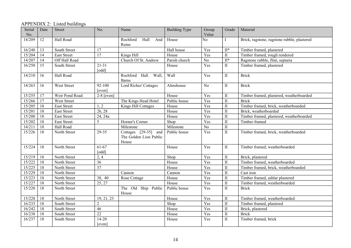### APPENDIX 2: Listed buildings

| Serial<br>No. | Date | <b>Street</b>      | No.                 | Name                                                    | <b>Building Type</b> | Group<br>Value | Grade                     | Material                                    |
|---------------|------|--------------------|---------------------|---------------------------------------------------------|----------------------|----------------|---------------------------|---------------------------------------------|
| 14/209        | 12   | Hall Road          |                     | Rochford<br>Hall<br>And<br>Ruins                        | House                | No             | $\mathbf{I}$              | Brick, ragstone, ragstone rubble, plastered |
| 16/248        | 13   | South Street       | 17                  |                                                         | Hall house           | Yes            | $II^*$                    | Timber framed, plastered                    |
| 15/204        | 14   | <b>East Street</b> | 17                  | Kings Hill                                              | House                | Yes            | $\rm II$                  | Timber framed, rough rendered               |
| 14/207        | 14   | Off Hall Road      |                     | Church Of St. Andrew                                    | Parish church        | No             | $\overline{\mathbf{H}^*}$ | Ragstone rubble, flint, septaria            |
| 16/250        | 15   | South Street       | $21 - 31$<br>[odd]  |                                                         | House                | Yes            | $\rm II$                  | Timber framed, plastered                    |
| 14/210        | 16   | Hall Road          |                     | Hall. Wall,<br>Rochford<br>Barns                        | Wall                 | Yes            | $\mathbf{I}$              | <b>Brick</b>                                |
| 14/263        | 16   | West Street        | 92-100<br>[even]    | Lord Riches' Cottages                                   | Almshouse            | N <sub>0</sub> | $\rm II$                  | <b>Brick</b>                                |
| 15/255        | 17   | Weir Pond Road     | $2-8$ [even]        |                                                         | House                | Yes            | $\mathbf{I}$              | Timber framed, plastered, weatherboarded    |
| 15/266        | 17   | West Street        |                     | The Kings Head Hotel                                    | Public house         | Yes            | $\mathbf{I}$              | <b>Brick</b>                                |
| 15/205        | 18   | <b>East Street</b> | 1, 2                | Kings Hill Cottages                                     | House                | Yes            | $\mathbf{I}$              | Timber framed, brick, weatherboarded        |
| 15/201        | 18   | East Street        | 26, 28              |                                                         | House                | Yes            | $\mathbf{I}$              | Brick, weatherboarded                       |
| 15/200        | 18   | East Street        | 24, 24a             |                                                         | House                | Yes            | $\rm II$                  | Timber framed, plastered, weatherboarded    |
| 15/202        | 18   | East Street        | 5                   | Horner's Corner                                         | Shop                 | Yes            | $\rm II$                  | Timber-framed                               |
| 14/211        | 18   | Hall Road          |                     | Milestone                                               | Milestone            | No             | $\rm II$                  |                                             |
| 15/226        | 18   | North Street       | 29-35               | Cottages [29-35] and<br>The Golden Lion Public<br>House | Public house         | Yes            | $\rm II$                  | Timber framed, brick, weatherboarded        |
| 15/224        | 18   | North Street       | $61-67$<br>[odd]    |                                                         | House                | Yes            | $\rm II$                  | Timber framed, weatherboarded               |
| 15/219        | 18   | North Street       | 2,4                 |                                                         | Shop                 | Yes            | $\rm II$                  | Brick, plastered                            |
| 15/222        | 18   | North Street       | 36                  |                                                         | House                | Yes            | $\mathbf{I}$              | Timber framed, weatherboarded               |
| 15/225        | 18   | North Street       | 37                  |                                                         | House                | Yes            | $\rm II$                  | Timber framed, brick, weatherboarded        |
| 15/229        | 18   | North Street       |                     | Cannon                                                  | Cannon               | Yes            | $\rm II$                  | Cast iron                                   |
| 15/223        | 18   | North Street       | 38, 40              | Rose Cottage                                            | House                | Yes            | $\rm II$                  | Timber framed, ashlar plastered             |
| 15/227        | 18   | North Street       | 25, 27              |                                                         | House                | Yes            | $\rm II$                  | Timber framed, weatherboarded               |
| 15/220        | 18   | North Street       |                     | The Old Ship Public<br>House                            | Public house         | Yes            | $\rm II$                  | <b>Brick</b>                                |
| 15/228        | 18   | North Street       | 19, 21, 23          |                                                         | House                | Yes            | $\rm II$                  | Timber framed, weatherboarded               |
| 16/233        | 18   | South Street       | $\overline{2}$      |                                                         | Shop                 | Yes            | $\rm II$                  | Timber framed, plastered                    |
| 16/242        | 18   | South Street       | 46                  |                                                         | House                | Yes            | $\rm II$                  | Brick, plastered                            |
| 16/238        | 18   | South Street       | $\overline{22}$     |                                                         | House                | Yes            | $\rm II$                  | <b>Brick</b>                                |
| 16/237        | 18   | South Street       | $14 - 20$<br>[even] |                                                         | House                | Yes            | $\rm II$                  | Timber framed, brick                        |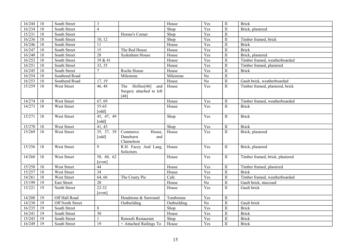| 16/244           | 18       | South Street                 | $\mathfrak{Z}$       |                                                              | House       | Yes            | $\rm II$     | <b>Brick</b>                    |
|------------------|----------|------------------------------|----------------------|--------------------------------------------------------------|-------------|----------------|--------------|---------------------------------|
| 16/234           | 18       | South Street                 | $\overline{4}$       |                                                              | Shop        | Yes            | $\mathbf{I}$ | Brick, plastered                |
| 15/231           | 18       | South Street                 |                      | Horner's Corner                                              | Shop        | Yes            | $\mathbf{I}$ |                                 |
| 16/236           | 18       | South Street                 | 10, 12               |                                                              | Shop        | Yes            | $\mathbf{I}$ | Timber framed, brick            |
| 16/246           | 18       | South Street                 | 11                   |                                                              | House       | Yes            | $\mathbf{I}$ | <b>Brick</b>                    |
| 16/247           | 18       | South Street                 | $\overline{15}$      | The Red House                                                | House       | Yes            | $\mathbf{I}$ | <b>Brick</b>                    |
| 16/240           | 18       | South Street                 | $\overline{28}$      | Sydenham House                                               | House       | Yes            | $\mathbf{I}$ | Brick, plastered                |
| 16/252           | 18       | South Street                 | 39 & 41              |                                                              | House       | Yes            | $\;$ II      | Timber framed, weatherboarded   |
| 16/251           | 18       | South Street                 | 33, 35               |                                                              | House       | Yes            | $\mathbf{I}$ | Timber framed, plastered        |
| 16/245           | 18       | South Street                 | $\overline{7}$       | Roche House                                                  | House       | Yes            | $\mathbf{I}$ | <b>Brick</b>                    |
| 16/254           | 18       | Southend Road                |                      | Milestone                                                    | Milestone   | N <sub>o</sub> | $\mathbf{I}$ |                                 |
| 16/253           | 18       | Southend Road                | 17, 19               |                                                              | House       | No             | $\mathbf{I}$ | Gault brick, weatherboarded     |
| 15/259           | 18       | West Street                  | 46, 48               | The Hollies[46]<br>and<br>Surgery attached to left<br>$[48]$ | House       | Yes            | $\rm II$     | Timber framed, plastered, brick |
| 14/274           | 18       | West Street                  | 67, 69               |                                                              | House       | Yes            | $\mathbf{I}$ | Timber framed, weatherboarded   |
| 14/273           | 18       | West Street                  | 55-65<br>[odd]       |                                                              | House       | Yes            | $\rm II$     | <b>Brick</b>                    |
| 15/271           | 18       | West Street                  | 45, 47, 49<br>[odd]  |                                                              | Shop        | Yes            | $\mathbf{I}$ | <b>Brick</b>                    |
|                  |          |                              |                      |                                                              |             |                |              |                                 |
| 15/270           | 18       | West Street                  | 41, 43               |                                                              | Shop        | Yes            | $\;$ II      | <b>Brick</b>                    |
| 15/269           | 18       | West Street                  | 35, 37, 39<br>[odd]  | Commerce<br>House,<br>Danehurst<br>and<br>Chameleon          | House       | Yes            | $\rm II$     | Brick, plastered                |
| 15/256           | 18       | <b>West Street</b>           | 9                    | R.H. Facey And Lang,<br>Solicitors                           | House       | Yes            | $\mathbf{I}$ | Brick, plastered                |
| 14/260           | 18       | <b>West Street</b>           | 58, 60, 62<br>[even] |                                                              | House       | Yes            | $\rm II$     | Timber framed, brick, plastered |
| 15/258           | 18       | West Street                  | 44                   |                                                              | House       | Yes            | $\rm II$     | Timber framed, plastered        |
| 15/257           | 18       | <b>West Street</b>           | $\overline{34}$      |                                                              | House       | Yes            | $\mathbf{I}$ | <b>Brick</b>                    |
| 14/261           | 18       | West Street                  | 64, 66               | The Crusty Pie                                               | Cafe        | Yes            | $\rm II$     | Timber framed, weatherboarded   |
| 15/199           | 19       | <b>East Street</b>           | $\overline{20}$      |                                                              | House       | N <sub>o</sub> | $\mathbf{I}$ | Gault brick, stuccoed           |
| 15/221           | 19       | North Street                 | $22 - 32$<br>[even]  |                                                              | House       | Yes            | $\mathbf{I}$ | Gault brick                     |
| 14/208           | 19       | Off Hall Road                |                      | Headstone & Surround                                         | Tombstone   | Yes            | $\;$ II      |                                 |
| 14/230           | 19       | Off North Street             |                      | Outbuilding                                                  | Outbuilding | N <sub>o</sub> | $\mathbf{I}$ | Gault brick                     |
| 16/235           | 19       | South Street                 | $\,8\,$              |                                                              | Shop        | Yes            | $\mathbf{I}$ | <b>Brick</b>                    |
| 16/241           | 19       | South Street                 | $\overline{30}$      |                                                              | House       | Yes            | $\mathbf{I}$ | <b>Brick</b>                    |
| 15/243<br>16/249 | 19<br>19 | South Street<br>South Street | 19                   | Renoufs Restaurant                                           | Shop        | Yes            | $\mathbf{I}$ | <b>Brick</b>                    |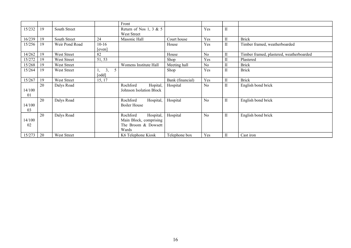|              |    |                    |                   | Front                                                                           |                  |                |              |                                          |
|--------------|----|--------------------|-------------------|---------------------------------------------------------------------------------|------------------|----------------|--------------|------------------------------------------|
| 15/232       | 19 | South Street       |                   | Return of Nos 1, 3 & 5<br>West Street                                           |                  | Yes            | $\rm II$     |                                          |
| 16/239       | 19 | South Street       | 24                | Masonic Hall                                                                    | Court house      | Yes            | $\mathbf{I}$ | <b>Brick</b>                             |
| 15/256       | 19 | Weir Pond Road     | $10-16$<br>[even] |                                                                                 | House            | Yes            | $\mathbf{I}$ | Timber framed, weatherboarded            |
| 14/262       | 19 | West Street        | 82                |                                                                                 | House            | N <sub>0</sub> | $\mathbf{I}$ | Timber framed, plastered, weatherboarded |
| 15/272       | 19 | West Street        | 51, 53            |                                                                                 | Shop             | Yes            | $\mathbf{I}$ | Plastered                                |
| 15/268       | 19 | West Street        |                   | Womens Institute Hall                                                           | Meeting hall     | N <sub>0</sub> | $\mathbf{I}$ | <b>Brick</b>                             |
| 15/264       | 19 | West Street        | 3,<br>5<br>[odd]  |                                                                                 | Shop             | Yes            | $\mathbf{I}$ | <b>Brick</b>                             |
| 15/267       | 19 | <b>West Street</b> | 15, 17            |                                                                                 | Bank (financial) | Yes            | $\mathbf{I}$ | <b>Brick</b>                             |
| 14/100<br>01 | 20 | Dalys Road         |                   | Hopital,<br>Rochford<br>Johnson Isolation Block                                 | Hospital         | N <sub>0</sub> | $\mathbf{I}$ | English bond brick                       |
| 14/100<br>03 | 20 | Dalys Road         |                   | Hospital,<br>Rochford<br><b>Boiler House</b>                                    | Hospital         | N <sub>0</sub> | $\mathbf{I}$ | English bond brick                       |
| 14/100<br>02 | 20 | Dalys Road         |                   | Rochford<br>Hospital,<br>Main Block, comprising<br>The Broom & Dowsett<br>Wards | Hospital         | N <sub>0</sub> | $\mathbf{I}$ | English bond brick                       |
| 15/273       | 20 | West Street        |                   | K6 Telephone Kiosk                                                              | Telephone box    | Yes            | П            | Cast iron                                |